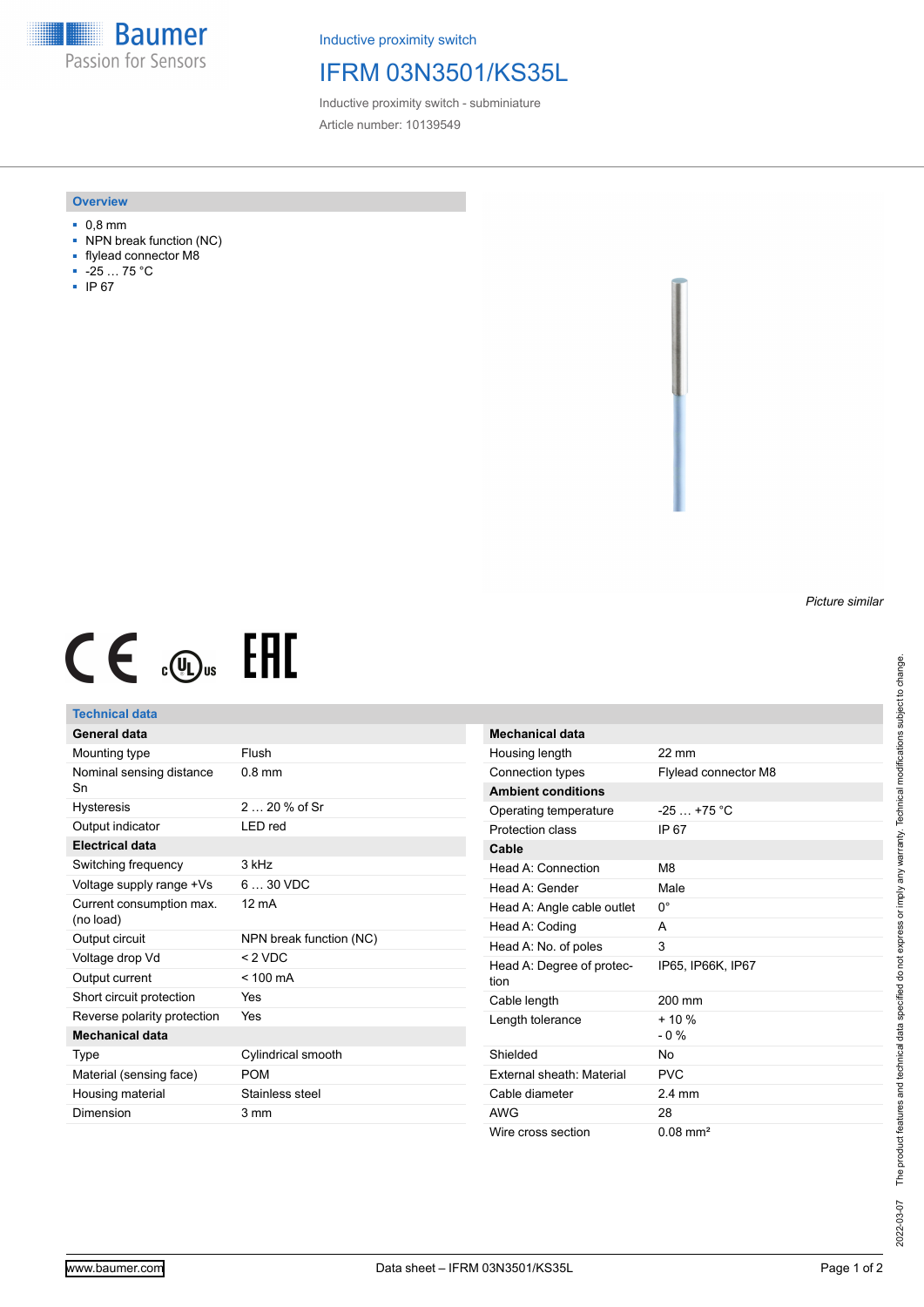**Baumer** Passion for Sensors

Inductive proximity switch

# IFRM 03N3501/KS35L

Inductive proximity switch - subminiature Article number: 10139549

## **Overview**

- 0,8 mm
- NPN break function (NC)
- flylead connector M8
- -25 … 75 °C
- IP 67

#### *Picture similar*

# $CE \oplus E$

## **Technical data**

| <b>General data</b>                   |                         |
|---------------------------------------|-------------------------|
| Mounting type                         | Flush                   |
| Nominal sensing distance<br>Sn        | $0.8$ mm                |
| <b>Hysteresis</b>                     | 2 $20%$ of Sr           |
| Output indicator                      | LED red                 |
| <b>Electrical data</b>                |                         |
| Switching frequency                   | 3 kHz                   |
| Voltage supply range +Vs              | $630$ VDC               |
| Current consumption max.<br>(no load) | $12 \text{ mA}$         |
| Output circuit                        | NPN break function (NC) |
| Voltage drop Vd                       | $<$ 2 VDC               |
| Output current                        | $< 100$ mA              |
| Short circuit protection              | Yes                     |
| Reverse polarity protection           | Yes                     |
| <b>Mechanical data</b>                |                         |
| Type                                  | Cylindrical smooth      |
| Material (sensing face)               | <b>POM</b>              |
| Housing material                      | Stainless steel         |
| Dimension                             | 3 mm                    |
|                                       |                         |

| <b>Mechanical data</b>            |                        |
|-----------------------------------|------------------------|
| Housing length                    | $22 \text{ mm}$        |
| Connection types                  | Flylead connector M8   |
| <b>Ambient conditions</b>         |                        |
| Operating temperature             | $-25$ $+75$ °C         |
| Protection class                  | IP 67                  |
| Cable                             |                        |
| Head A: Connection                | M <sub>8</sub>         |
| Head A: Gender                    | Male                   |
| Head A: Angle cable outlet        | 0°                     |
| Head A: Coding                    | А                      |
| Head A: No. of poles              | 3                      |
| Head A: Degree of protec-<br>tion | IP65, IP66K, IP67      |
| Cable length                      | $200 \text{ mm}$       |
| Length tolerance                  | $+10%$<br>$-0\%$       |
| Shielded                          | No                     |
| External sheath: Material         | PVC                    |
| Cable diameter                    | $2.4 \text{ mm}$       |
| AWG                               | 28                     |
| Wire cross section                | $0.08$ mm <sup>2</sup> |